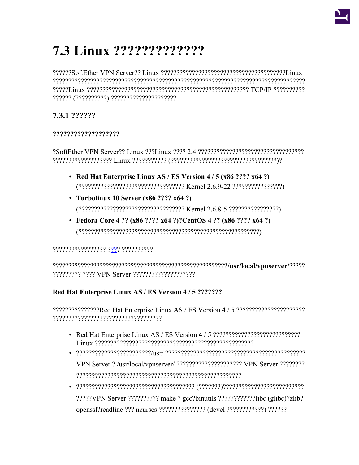

# 7.3 Linux ??????????????

reserverenen erreserrentaren alternational erreta erreta erreta elago erreta erreta erreta erreta erreta erret 

# 7.3.1 ??????

#### ???????????????????

- Red Hat Enterprise Linux AS / ES Version  $4/5$  (x86 ???? x64 ?)
- Turbolinux 10 Server  $(x86 ???? x64 ?)$
- Fedora Core 4 ?? (x86 ???? x64 ?)?CentOS 4 ?? (x86 ???? x64 ?)  $(?????????????????????????????????????????????????????????????????????????$

## 

## Red Hat Enterprise Linux AS / ES Version 4 / 5 ???????

- 
- 
- ?????VPN Server ?????????????????????????binutils ??????????????!ibc (glibc)?zlib? openssl?readline ??? ncurses ???????????????? (devel ?????????????) ??????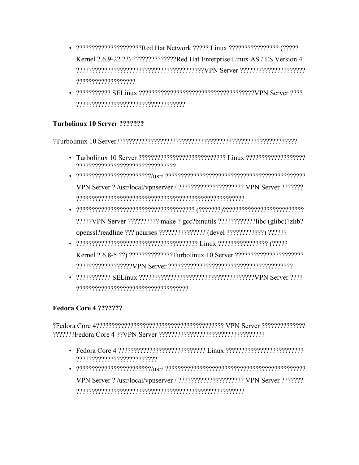- ?????????????????????Red Hat Network ????? Linux ???????????????? (????? Kernel 2.6.9-22 ??) ???????????????Red Hat Enterprise Linux AS / ES Version 4 ???????????????????
- 

## Turbolinux 10 Server ???????

2Turbolinux 10 Server2222222222222222222222222222234

- 
- VPN Server ? /usr/local/vpnserver / ??????????????????????? VPN Server ????????
- ?????VPN Server ??????????? make ? gcc?binutils ?????????????!ibc (glibc)?zlib? openssl?readline ??? ncurses ???????????????? (devel ?????????????) ??????
- 
- 

## Fedora Core 4 ???????

- 
- VPN Server ? /usr/local/vpnserver / ??????????????????????? VPN Server ????????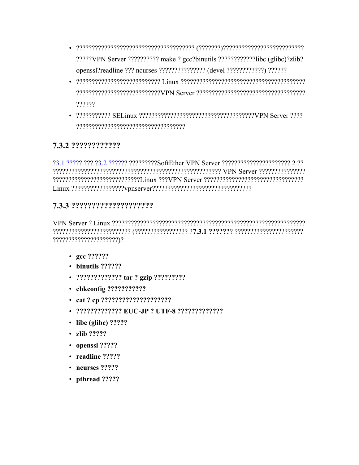- ?????VPN Server ??????????? make ? gcc?binutils ?????????????libc (glibc)?zlib? openss1?readline ??? ncurses ???????????????? (devel ????????????) ??????
- ??????
- 

# 7.3.2 ????????????

?3.1 ????? ??? ?3.2 ?????? ?????????SoftEther VPN Server ???????????????????????? 2 ?? 

## 

- $\gcd$  ??????
- $\cdot$  binutils ??????
- ?????????????? tar ? gzip ??????????
- chkconfig ????????????
- 
- 2222222222222 EUC-JP 2 UTF-8 2222222222222
- $\cdot$  libc (glibc) ?????
- $\cdot$  zlih ?????
- openssl ?????
- $\cdot$  readline ?????
- $\cdot$  neurses  $2222$
- pthread ?????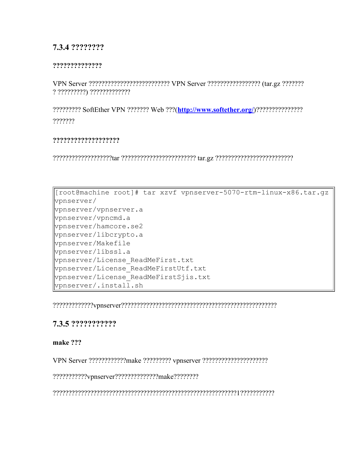## **7.3.4 ????????**

#### **??????????????**

VPN Server ?????????????????????????? VPN Server ????????????????? (tar.gz ??????? ? ?????????) ?????????????

????????? SoftEther VPN ??????? Web ???(**<http://www.softether.org/>**)??????????????? ???????

#### **???????????????????**

???????????????????tar ???????????????????????? tar.gz ?????????????????????????

[root@machine root]# tar xzvf vpnserver-5070-rtm-linux-x86.tar.gz vpnserver/ vpnserver/vpnserver.a vpnserver/vpncmd.a vpnserver/hamcore.se2 vpnserver/libcrypto.a vpnserver/Makefile vpnserver/libssl.a vpnserver/License\_ReadMeFirst.txt vpnserver/License\_ReadMeFirstUtf.txt vpnserver/License\_ReadMeFirstSjis.txt  $v$ pnserver/.install.sh

?????????????vpnserver??????????????????????????????????????????????????

## **7.3.5 ???????????**

#### **make ???**

VPN Server ????????????make ????????? vpnserver ?????????????????????

???????????vpnserver??????????????make????????

???????????????????????????????????????????????????????????1???????????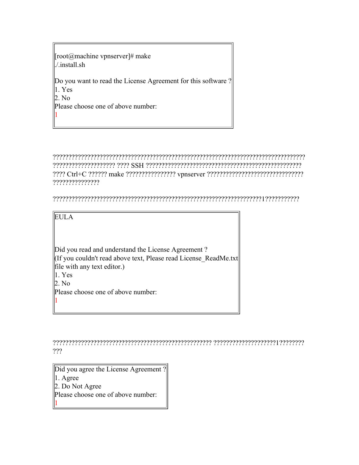| [root@machine vpnserver]# make<br>$1/$ .install.sh                     |
|------------------------------------------------------------------------|
| Do you want to read the License Agreement for this software?<br>1. Yes |
| 2. No                                                                  |
| Please choose one of above number:                                     |
|                                                                        |

????????????????????????????????????????????????????????????????????????????????? ???????????????????? ???? SSH ?????????????????????????????????????????????????? ???? Ctrl+C ?????? make ???????????????? vpnserver ??????????????????????????????? ???????????????

???????????????????????????????????????????????????????????????????1???????????

EULA

Did you read and understand the License Agreement? (If you couldn't read above text, Please read License\_ReadMe.txt file with any text editor.) 1. Yes 2. No Please choose one of above number: 1

??????????????????????????????????????????????????? ????????????????????1???????? ???

Did you agree the License Agreement ? 1. Agree 2. Do Not Agree Please choose one of above number: 1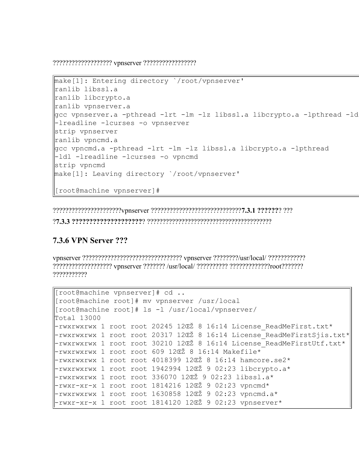??????????????????? vpnserver ?????????????????

```
make[1]: Entering directory `/root/vpnserver'
ranlib libssl.a
ranlib libcrypto.a
ranlib vpnserver.a
gcc vpnserver.a -pthread -lrt -lm -lz libssl.a libcrypto.a -lpthread -ldl
-lreadline -lcurses -o vpnserver
strip vpnserver
ranlib vpncmd.a
gcc vpncmd.a -pthread -lrt -lm -lz libssl.a libcrypto.a -lpthread
-ldl -lreadline -lcurses -o vpncmd
strip vpncmd
make[1]: Leaving directory `/root/vpnserver'
[root@machine vpnserver]#
```
??????????????????????vpnserver ?????????????????????????????**7.3.1 ??????**? ???

?**7.3.3 ????????????????????**? ????????????????????????????????????????

# **7.3.6 VPN Server ???**

vpnserver ???????????????????????????????? vpnserver ????????/usr/local/ ???????????? ??????????????????? vpnserver ??????? /usr/local/ ?????????? ?????????????root??????? ???????????

```
[root@machine vpnserver]# cd ..
[root@machine root]# mv vpnserver /usr/local
[root@machine root]# ls -l /usr/local/vpnserver/
Total 13000
-rwxrwxrwx 1 root root 20245 12ŒŽ 8 16:14 License ReadMeFirst.txt*
-rwxrwxrwx 1 root root 20317 12ŒŽ 8 16:14 License ReadMeFirstSjis.txt*
-rwxrwxrwx 1 root root 30210 12ŒŽ 8 16:14 License ReadMeFirstUtf.txt*
-rwxrwxrwx 1 root root 609 12ŒŽ 8 16:14 Makefile*
-rwxrwxrwx 1 root root 4018399 12ŒŽ 8 16:14 hamcore.se2*
-rwxrwxrwx 1 root root 1942994 12ŒŽ 9 02:23 libcrypto.a*
-rwxrwxrwx 1 root root 336070 12ŒŽ 9 02:23 libssl.a*
-rwxr-xr-x 1 root root 1814216 12ŒŽ 9 02:23 vpncmd*
-rwxrwxrwx 1 root root 1630858 12ŒŽ 9 02:23 vpncmd.a*
-rwxr-xr-x 1 root root 1814120 12ŒŽ 9 02:23 vpnserver*
```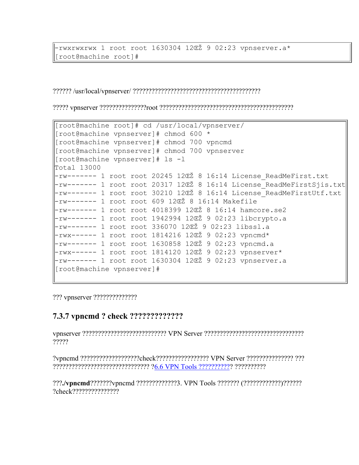rwxrwxrwx 1 root root 1630304 12CŽ 9 02:23 vpnserver.a\* [root@machine root]#

```
[root@machine root]# cd /usr/local/vpnserver/
[root@machine vpnserver]# chmod 600 *
[root@machine vpnserver]# chmod 700 vpncmd
[root@machine vpnserver]# chmod 700 vpnserver
[root@machine vpnserver]# 1s -1
Total 13000
-rw------- 1 root root 20245 12CZ 8 16:14 License ReadMeFirst.txt
-rw------- 1 root root 20317 12ŒŽ 8 16:14 License ReadMeFirstSjis.txt
-rw------- 1 root root 30210 12CŽ 8 16:14 License ReadMeFirstUtf.txt
-rw------- 1 root root 609 12ŒŽ 8 16:14 Makefile
-rw------- 1 root root 4018399 12CŽ 8 16:14 hamcore.se2
-rw------- 1 root root 1942994 12CŽ 9 02:23 libcrypto.a
-rw------- 1 root root 336070 12CŽ 9 02:23 libssl.a
-rwx------ 1 root root 1814216 12ŒŽ 9 02:23 vpncmd*
-rw------- 1 root root 1630858 12CŽ 9 02:23 vpncmd.a
-rwx------ 1 root root 1814120 12ŒŽ 9 02:23 vpnserver*
-rw------- 1 root root 1630304 12ŒŽ 9 02:23 vpnserver.a
[root@machine vpnserver]#
```
## 

?????

???./vpncmd???????vpncmd?????????????3. VPN Tools ??????? (????????????)??????? ?check????????????????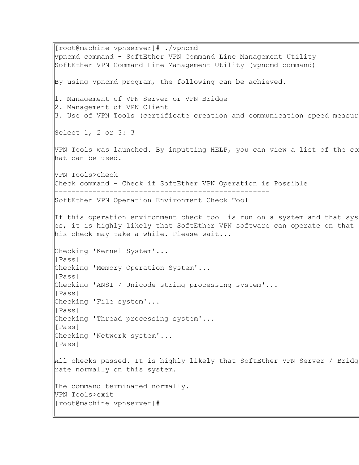[root@machine vpnserver]# ./vpncmd vpncmd command - SoftEther VPN Command Line Management Utility SoftEther VPN Command Line Management Utility (vpncmd command) By using vpncmd program, the following can be achieved. 1. Management of VPN Server or VPN Bridge 2. Management of VPN Client  $3.$  Use of VPN Tools (certificate creation and communication speed measur Select 1, 2 or 3: 3  $V$ PN Tools was launched. By inputting HELP, you can view a list of the comm hat can be used. VPN Tools>check Check command - Check if SoftEther VPN Operation is Possible --------------------------------------------------- SoftEther VPN Operation Environment Check Tool If this operation environment check tool is run on a system and that sys es, it is highly likely that SoftEther VPN software can operate on that his check may take a while. Please wait... Checking 'Kernel System'... [Pass] Checking 'Memory Operation System'... [Pass] Checking 'ANSI / Unicode string processing system'... [Pass] Checking 'File system'... [Pass] Checking 'Thread processing system'... [Pass] Checking 'Network system'... [Pass] All checks passed. It is highly likely that SoftEther VPN Server / Bridg rate normally on this system. The command terminated normally. VPN Tools>exit [root@machine vpnserver]#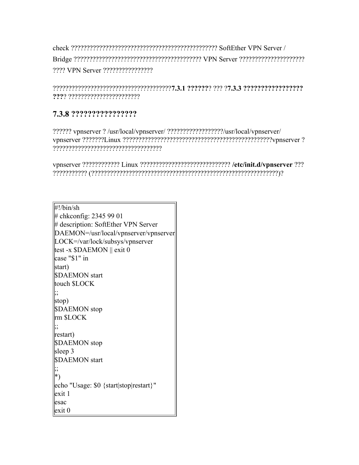check ??????????????????????????????????????????????? SoftEther VPN Server / Bridge ????????????????????????????????????????? VPN Server ????????????????????? ???? VPN Server ????????????????

??????????????????????????????????????**7.3.1 ??????**? ??? ?**7.3.3 ????????????????? ???**? ???????????????????????

# **7.3.8 ????????????????**

?????? vpnserver ? /usr/local/vpnserver/ ??????????????????/usr/local/vpnserver/ vpnserver ???????Linux ????????????????????????????????????????????????vpnserver ? ???????????????????????????????????

vpnserver ???????????? Linux ????????????????????????????? **/etc/init.d/vpnserver** ??? ??????????? (????????????????????????????????????????????????????????????)?

#!/bin/sh # chkconfig: 2345 99 01 # description: SoftEther VPN Server DAEMON=/usr/local/vpnserver/vpnserver LOCK=/var/lock/subsys/vpnserver test -x \$DAEMON || exit 0 case "\$1" in start) \$DAEMON start touch \$LOCK ;; stop) \$DAEMON stop rm \$LOCK ;; restart) \$DAEMON stop sleep 3 \$DAEMON start ;; \*) echo "Usage: \$0 {start|stop|restart}" exit 1 esac exit 0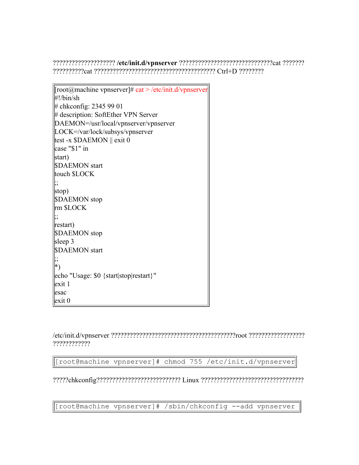???????????????????? **/etc/init.d/vpnserver** ??????????????????????????????cat ??????? ??????????cat ??????????????????????????????????????? Ctrl+D ????????

[root@machine vpnserver]# cat > /etc/init.d/vpnserver #!/bin/sh # chkconfig: 2345 99 01 # description: SoftEther VPN Server DAEMON=/usr/local/vpnserver/vpnserver LOCK=/var/lock/subsys/vpnserver test -x \$DAEMON || exit 0 case "\$1" in start) \$DAEMON start touch \$LOCK ;; stop) \$DAEMON stop rm \$LOCK ;; restart) \$DAEMON stop sleep 3 \$DAEMON start ;; \*) echo "Usage: \$0 {start|stop|restart}" exit 1 esac exit 0

/etc/init.d/vpnserver ????????????????????????????????????????root ?????????????????? ????????????

[root@machine vpnserver]# chmod 755 /etc/init.d/vpnserver

?????chkconfig??????????????????????????? Linux ?????????????????????????????????

[root@machine vpnserver]# /sbin/chkconfig --add vpnserver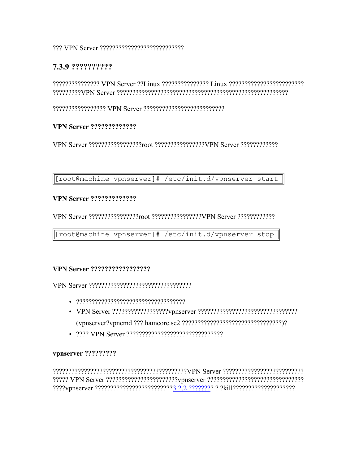#### 

## 7.3.9 ??????????

#### **VPN Server ??????????????**

[root@machine vpnserver]# /etc/init.d/vpnserver start

#### **VPN Server ?????????????**

[root@machine vpnserver]# /etc/init.d/vpnserver stop

#### **VPN Server ??????????????????**

- 
- 
- 2222 VPN Server 22222222222222222222222222222

#### vpnserver ?????????